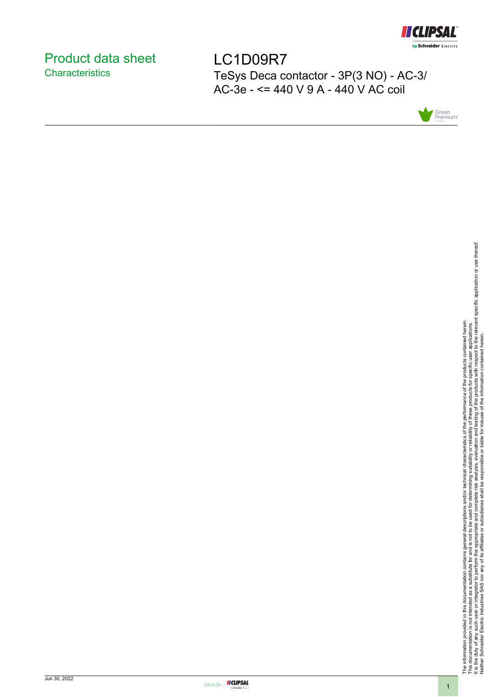

# <span id="page-0-0"></span>Product data sheet **Characteristics**

LC1D09R7 TeSys Deca contactor - 3P(3 NO) - AC-3/ AC-3e - <= 440 V 9 A - 440 V AC coil



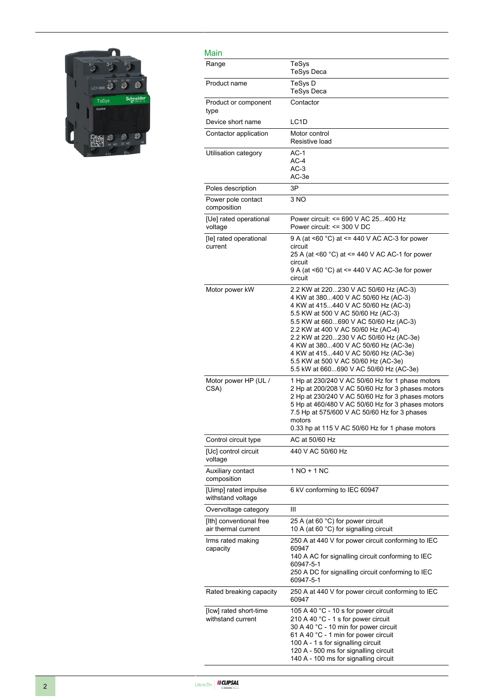

| Main                                           |                                                                                                                                                                                                                                                                                                                                                                                                                                                     |
|------------------------------------------------|-----------------------------------------------------------------------------------------------------------------------------------------------------------------------------------------------------------------------------------------------------------------------------------------------------------------------------------------------------------------------------------------------------------------------------------------------------|
| Range                                          | TeSys<br><b>TeSys Deca</b>                                                                                                                                                                                                                                                                                                                                                                                                                          |
| Product name                                   | TeSys D<br><b>TeSys Deca</b>                                                                                                                                                                                                                                                                                                                                                                                                                        |
| Product or component<br>type                   | Contactor                                                                                                                                                                                                                                                                                                                                                                                                                                           |
| Device short name                              | LC <sub>1</sub> D                                                                                                                                                                                                                                                                                                                                                                                                                                   |
| Contactor application                          | Motor control<br>Resistive load                                                                                                                                                                                                                                                                                                                                                                                                                     |
| Utilisation category                           | $AC-1$<br>$AC-4$<br>$AC-3$<br>AC-3e                                                                                                                                                                                                                                                                                                                                                                                                                 |
| Poles description                              | 3P                                                                                                                                                                                                                                                                                                                                                                                                                                                  |
| Power pole contact<br>composition              | 3 NO                                                                                                                                                                                                                                                                                                                                                                                                                                                |
| [Ue] rated operational<br>voltage              | Power circuit: <= 690 V AC 25400 Hz<br>Power circuit: <= 300 V DC                                                                                                                                                                                                                                                                                                                                                                                   |
| [le] rated operational<br>current              | 9 A (at <60 $^{\circ}$ C) at <= 440 V AC AC-3 for power<br>circuit<br>25 A (at <60 °C) at <= 440 V AC AC-1 for power<br>circuit<br>9 A (at <60 $^{\circ}$ C) at <= 440 V AC AC-3e for power<br>circuit                                                                                                                                                                                                                                              |
| Motor power kW                                 | 2.2 KW at 220230 V AC 50/60 Hz (AC-3)<br>4 KW at 380400 V AC 50/60 Hz (AC-3)<br>4 KW at 415440 V AC 50/60 Hz (AC-3)<br>5.5 KW at 500 V AC 50/60 Hz (AC-3)<br>5.5 KW at 660690 V AC 50/60 Hz (AC-3)<br>2.2 KW at 400 V AC 50/60 Hz (AC-4)<br>2.2 KW at 220230 V AC 50/60 Hz (AC-3e)<br>4 KW at 380400 V AC 50/60 Hz (AC-3e)<br>4 KW at 415440 V AC 50/60 Hz (AC-3e)<br>5.5 KW at 500 V AC 50/60 Hz (AC-3e)<br>5.5 kW at 660690 V AC 50/60 Hz (AC-3e) |
| Motor power HP (UL /<br>CSA)                   | 1 Hp at 230/240 V AC 50/60 Hz for 1 phase motors<br>2 Hp at 200/208 V AC 50/60 Hz for 3 phases motors<br>2 Hp at 230/240 V AC 50/60 Hz for 3 phases motors<br>5 Hp at 460/480 V AC 50/60 Hz for 3 phases motors<br>7.5 Hp at 575/600 V AC 50/60 Hz for 3 phases<br>motors<br>0.33 hp at 115 V AC 50/60 Hz for 1 phase motors                                                                                                                        |
| Control circuit type                           | AC at 50/60 Hz                                                                                                                                                                                                                                                                                                                                                                                                                                      |
| [Uc] control circuit<br>voltage                | 440 V AC 50/60 Hz                                                                                                                                                                                                                                                                                                                                                                                                                                   |
| Auxiliary contact<br>composition               | 1 NO + 1 NC                                                                                                                                                                                                                                                                                                                                                                                                                                         |
| [Uimp] rated impulse<br>withstand voltage      | 6 kV conforming to IEC 60947                                                                                                                                                                                                                                                                                                                                                                                                                        |
| Overvoltage category                           | Ш                                                                                                                                                                                                                                                                                                                                                                                                                                                   |
| [Ith] conventional free<br>air thermal current | 25 A (at 60 °C) for power circuit<br>10 A (at 60 °C) for signalling circuit                                                                                                                                                                                                                                                                                                                                                                         |
| Irms rated making<br>capacity                  | 250 A at 440 V for power circuit conforming to IEC<br>60947<br>140 A AC for signalling circuit conforming to IEC<br>60947-5-1<br>250 A DC for signalling circuit conforming to IEC<br>60947-5-1                                                                                                                                                                                                                                                     |
| Rated breaking capacity                        | 250 A at 440 V for power circuit conforming to IEC<br>60947                                                                                                                                                                                                                                                                                                                                                                                         |
| [Icw] rated short-time<br>withstand current    | 105 A 40 °C - 10 s for power circuit<br>210 A 40 °C - 1 s for power circuit<br>30 A 40 °C - 10 min for power circuit<br>61 A 40 °C - 1 min for power circuit<br>100 A - 1 s for signalling circuit<br>120 A - 500 ms for signalling circuit<br>140 A - 100 ms for signalling circuit                                                                                                                                                                |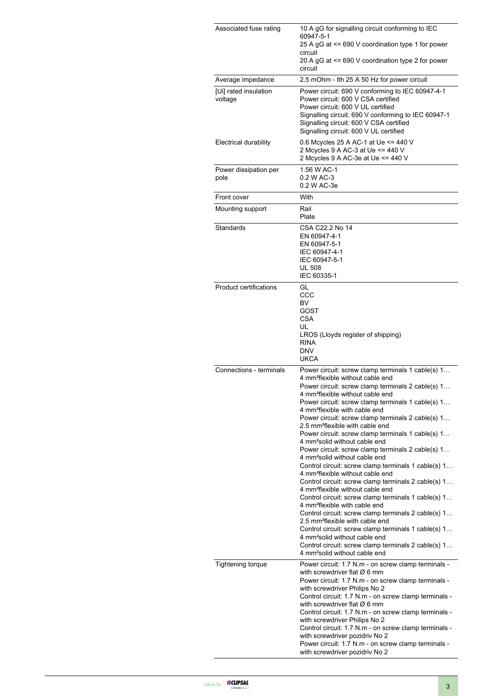| Associated fuse rating           | 10 A gG for signalling circuit conforming to IEC<br>60947-5-1<br>25 A gG at <= 690 V coordination type 1 for power<br>circuit<br>20 A gG at <= 690 V coordination type 2 for power<br>circuit                                                                                                                                                                                                                                                                                                                                                                                                                                                                                                                                                                                                                                                                                                                                                                                                                                                                                                                                                                                                                                                    |
|----------------------------------|--------------------------------------------------------------------------------------------------------------------------------------------------------------------------------------------------------------------------------------------------------------------------------------------------------------------------------------------------------------------------------------------------------------------------------------------------------------------------------------------------------------------------------------------------------------------------------------------------------------------------------------------------------------------------------------------------------------------------------------------------------------------------------------------------------------------------------------------------------------------------------------------------------------------------------------------------------------------------------------------------------------------------------------------------------------------------------------------------------------------------------------------------------------------------------------------------------------------------------------------------|
| Average impedance                | 2.5 mOhm - Ith 25 A 50 Hz for power circuit                                                                                                                                                                                                                                                                                                                                                                                                                                                                                                                                                                                                                                                                                                                                                                                                                                                                                                                                                                                                                                                                                                                                                                                                      |
| [Ui] rated insulation<br>voltage | Power circuit: 690 V conforming to IEC 60947-4-1<br>Power circuit: 600 V CSA certified<br>Power circuit: 600 V UL certified<br>Signalling circuit: 690 V conforming to IEC 60947-1<br>Signalling circuit: 600 V CSA certified<br>Signalling circuit: 600 V UL certified                                                                                                                                                                                                                                                                                                                                                                                                                                                                                                                                                                                                                                                                                                                                                                                                                                                                                                                                                                          |
| Electrical durability            | 0.6 Mcycles 25 A AC-1 at Ue <= 440 V<br>2 Mcycles 9 A AC-3 at Ue <= 440 V<br>2 Mcycles 9 A AC-3e at Ue <= 440 V                                                                                                                                                                                                                                                                                                                                                                                                                                                                                                                                                                                                                                                                                                                                                                                                                                                                                                                                                                                                                                                                                                                                  |
| Power dissipation per<br>pole    | 1.56 W AC-1<br>0.2 W AC-3<br>0.2 W AC-3e                                                                                                                                                                                                                                                                                                                                                                                                                                                                                                                                                                                                                                                                                                                                                                                                                                                                                                                                                                                                                                                                                                                                                                                                         |
| Front cover                      | With                                                                                                                                                                                                                                                                                                                                                                                                                                                                                                                                                                                                                                                                                                                                                                                                                                                                                                                                                                                                                                                                                                                                                                                                                                             |
| Mounting support                 | Rail<br>Plate                                                                                                                                                                                                                                                                                                                                                                                                                                                                                                                                                                                                                                                                                                                                                                                                                                                                                                                                                                                                                                                                                                                                                                                                                                    |
| Standards                        | CSA C22.2 No 14<br>EN 60947-4-1<br>EN 60947-5-1<br>IEC 60947-4-1<br>IEC 60947-5-1<br><b>UL 508</b><br>IEC 60335-1                                                                                                                                                                                                                                                                                                                                                                                                                                                                                                                                                                                                                                                                                                                                                                                                                                                                                                                                                                                                                                                                                                                                |
| <b>Product certifications</b>    | GL<br>CCC<br>BV<br>GOST<br><b>CSA</b><br>UL<br>LROS (Lloyds register of shipping)<br><b>RINA</b><br><b>DNV</b><br><b>UKCA</b>                                                                                                                                                                                                                                                                                                                                                                                                                                                                                                                                                                                                                                                                                                                                                                                                                                                                                                                                                                                                                                                                                                                    |
| Connections - terminals          | Power circuit: screw clamp terminals 1 cable(s) 1<br>4 mm <sup>2</sup> flexible without cable end<br>Power circuit: screw clamp terminals 2 cable(s) 1<br>4 mm <sup>2</sup> flexible without cable end<br>Power circuit: screw clamp terminals 1 cable(s) 1<br>4 mm <sup>2</sup> flexible with cable end<br>Power circuit: screw clamp terminals 2 cable(s) 1<br>2.5 mm <sup>2</sup> flexible with cable end<br>Power circuit: screw clamp terminals 1 cable(s) 1<br>4 mm <sup>2</sup> solid without cable end<br>Power circuit: screw clamp terminals 2 cable(s) 1<br>4 mm <sup>2</sup> solid without cable end<br>Control circuit: screw clamp terminals 1 cable(s) 1<br>4 mm <sup>2</sup> flexible without cable end<br>Control circuit: screw clamp terminals 2 cable(s) 1<br>4 mm <sup>2</sup> flexible without cable end<br>Control circuit: screw clamp terminals 1 cable(s) 1<br>4 mm <sup>2</sup> flexible with cable end<br>Control circuit: screw clamp terminals 2 cable(s) 1<br>2.5 mm <sup>2</sup> flexible with cable end<br>Control circuit: screw clamp terminals 1 cable(s) 1<br>4 mm <sup>2</sup> solid without cable end<br>Control circuit: screw clamp terminals 2 cable(s) 1<br>4 mm <sup>2</sup> solid without cable end |
| <b>Tightening torque</b>         | Power circuit: 1.7 N.m - on screw clamp terminals -<br>with screwdriver flat $\varnothing$ 6 mm<br>Power circuit: 1.7 N.m - on screw clamp terminals -<br>with screwdriver Philips No 2<br>Control circuit: 1.7 N.m - on screw clamp terminals -<br>with screwdriver flat $\varnothing$ 6 mm<br>Control circuit: 1.7 N.m - on screw clamp terminals -<br>with screwdriver Philips No 2<br>Control circuit: 1.7 N.m - on screw clamp terminals -<br>with screwdriver pozidriv No 2<br>Power circuit: 1.7 N.m - on screw clamp terminals -<br>with screwdriver pozidriv No 2                                                                                                                                                                                                                                                                                                                                                                                                                                                                                                                                                                                                                                                                       |

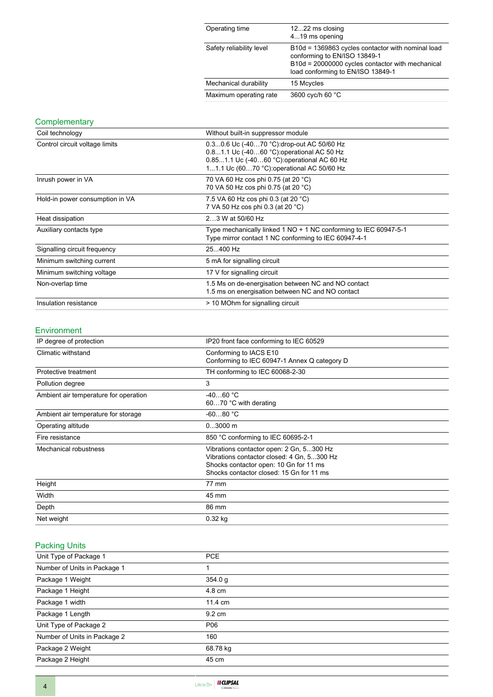| Operating time           | 1222 ms closing<br>419 ms opening                                                                                                                                          |
|--------------------------|----------------------------------------------------------------------------------------------------------------------------------------------------------------------------|
| Safety reliability level | B10d = 1369863 cycles contactor with nominal load<br>conforming to EN/ISO 13849-1<br>B10d = 20000000 cycles contactor with mechanical<br>load conforming to EN/ISO 13849-1 |
| Mechanical durability    | 15 Mcycles                                                                                                                                                                 |
| Maximum operating rate   | 3600 cyc/h 60 °C                                                                                                                                                           |

### **Complementary**

| Coil technology                 | Without built-in suppressor module                                                                                                                                                   |
|---------------------------------|--------------------------------------------------------------------------------------------------------------------------------------------------------------------------------------|
| Control circuit voltage limits  | 0.30.6 Uc (-4070 °C): drop-out AC 50/60 Hz<br>0.81.1 Uc (-4060 °C) operational AC 50 Hz<br>0.851.1 Uc (-4060 °C): operational AC 60 Hz<br>11.1 Uc (6070 °C): operational AC 50/60 Hz |
| Inrush power in VA              | 70 VA 60 Hz cos phi 0.75 (at 20 °C)<br>70 VA 50 Hz cos phi 0.75 (at 20 °C)                                                                                                           |
| Hold-in power consumption in VA | 7.5 VA 60 Hz cos phi 0.3 (at 20 °C)<br>7 VA 50 Hz cos phi 0.3 (at 20 °C)                                                                                                             |
| Heat dissipation                | 23 W at 50/60 Hz                                                                                                                                                                     |
| Auxiliary contacts type         | Type mechanically linked 1 NO + 1 NC conforming to IEC 60947-5-1<br>Type mirror contact 1 NC conforming to IEC 60947-4-1                                                             |
| Signalling circuit frequency    | 25400 Hz                                                                                                                                                                             |
| Minimum switching current       | 5 mA for signalling circuit                                                                                                                                                          |
| Minimum switching voltage       | 17 V for signalling circuit                                                                                                                                                          |
| Non-overlap time                | 1.5 Ms on de-energisation between NC and NO contact<br>1.5 ms on energisation between NC and NO contact                                                                              |
| Insulation resistance           | > 10 MOhm for signalling circuit                                                                                                                                                     |

#### Environment

| IP degree of protection               | IP20 front face conforming to IEC 60529                                                                                                                                      |
|---------------------------------------|------------------------------------------------------------------------------------------------------------------------------------------------------------------------------|
| Climatic withstand                    | Conforming to IACS E10<br>Conforming to IEC 60947-1 Annex Q category D                                                                                                       |
| Protective treatment                  | TH conforming to IEC 60068-2-30                                                                                                                                              |
| Pollution degree                      | 3                                                                                                                                                                            |
| Ambient air temperature for operation | $-4060 °C$<br>6070 °C with derating                                                                                                                                          |
| Ambient air temperature for storage   | $-6080 °C$                                                                                                                                                                   |
| Operating altitude                    | $03000$ m                                                                                                                                                                    |
| Fire resistance                       | 850 °C conforming to IEC 60695-2-1                                                                                                                                           |
| Mechanical robustness                 | Vibrations contactor open: 2 Gn, 5300 Hz<br>Vibrations contactor closed: 4 Gn, 5300 Hz<br>Shocks contactor open: 10 Gn for 11 ms<br>Shocks contactor closed: 15 Gn for 11 ms |
| Height                                | 77 mm                                                                                                                                                                        |
| Width                                 | 45 mm                                                                                                                                                                        |
| Depth                                 | 86 mm                                                                                                                                                                        |
| Net weight                            | $0.32$ kg                                                                                                                                                                    |

## Packing Units

| Unit Type of Package 1       | <b>PCE</b>       |
|------------------------------|------------------|
| Number of Units in Package 1 |                  |
| Package 1 Weight             | 354.0 g          |
| Package 1 Height             | 4.8 cm           |
| Package 1 width              | 11.4 cm          |
| Package 1 Length             | $9.2 \text{ cm}$ |
| Unit Type of Package 2       | P06              |
| Number of Units in Package 2 | 160              |
| Package 2 Weight             | 68.78 kg         |
| Package 2 Height             | 45 cm            |